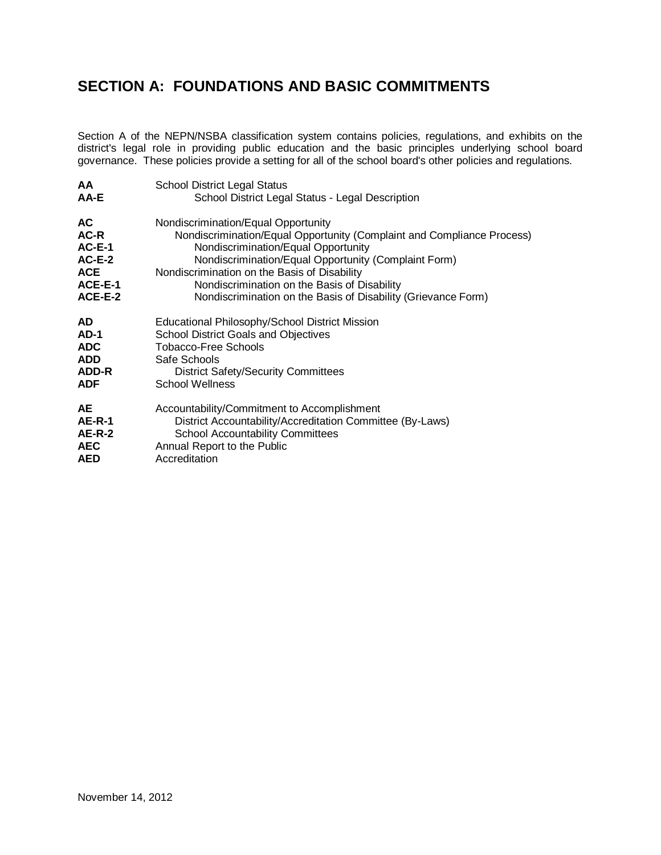## **SECTION A: FOUNDATIONS AND BASIC COMMITMENTS**

Section A of the NEPN/NSBA classification system contains policies, regulations, and exhibits on the district's legal role in providing public education and the basic principles underlying school board governance. These policies provide a setting for all of the school board's other policies and regulations.

| <b>AA</b>     | <b>School District Legal Status</b>                                    |
|---------------|------------------------------------------------------------------------|
| AA-E          | School District Legal Status - Legal Description                       |
| AC.           | Nondiscrimination/Equal Opportunity                                    |
| AC-R          | Nondiscrimination/Equal Opportunity (Complaint and Compliance Process) |
| $AC-E-1$      | Nondiscrimination/Equal Opportunity                                    |
| $AC-E-2$      | Nondiscrimination/Equal Opportunity (Complaint Form)                   |
| <b>ACE</b>    | Nondiscrimination on the Basis of Disability                           |
| ACE-E-1       | Nondiscrimination on the Basis of Disability                           |
| ACE-E-2       | Nondiscrimination on the Basis of Disability (Grievance Form)          |
| <b>AD</b>     | <b>Educational Philosophy/School District Mission</b>                  |
| $AD-1$        | <b>School District Goals and Objectives</b>                            |
| <b>ADC</b>    | <b>Tobacco-Free Schools</b>                                            |
| <b>ADD</b>    | Safe Schools                                                           |
| ADD-R         | <b>District Safety/Security Committees</b>                             |
| <b>ADF</b>    | <b>School Wellness</b>                                                 |
| <b>AE</b>     | Accountability/Commitment to Accomplishment                            |
| <b>AE-R-1</b> | District Accountability/Accreditation Committee (By-Laws)              |
| <b>AE-R-2</b> | <b>School Accountability Committees</b>                                |
| <b>AEC</b>    | Annual Report to the Public                                            |
| <b>AED</b>    | Accreditation                                                          |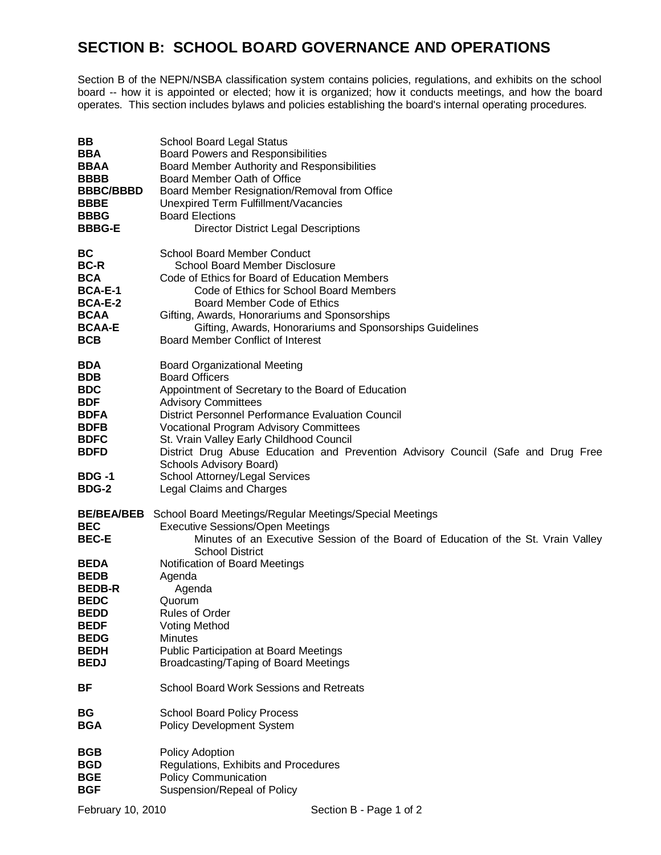## **SECTION B: SCHOOL BOARD GOVERNANCE AND OPERATIONS**

Section B of the NEPN/NSBA classification system contains policies, regulations, and exhibits on the school board -- how it is appointed or elected; how it is organized; how it conducts meetings, and how the board operates. This section includes bylaws and policies establishing the board's internal operating procedures.

| BB                                                                                                                                                                                       | <b>School Board Legal Status</b>                                                                                                                                                                                                                                                                                                                                                                                                                                          |
|------------------------------------------------------------------------------------------------------------------------------------------------------------------------------------------|---------------------------------------------------------------------------------------------------------------------------------------------------------------------------------------------------------------------------------------------------------------------------------------------------------------------------------------------------------------------------------------------------------------------------------------------------------------------------|
| <b>BBA</b>                                                                                                                                                                               | <b>Board Powers and Responsibilities</b>                                                                                                                                                                                                                                                                                                                                                                                                                                  |
| <b>BBAA</b>                                                                                                                                                                              | Board Member Authority and Responsibilities                                                                                                                                                                                                                                                                                                                                                                                                                               |
| <b>BBBB</b>                                                                                                                                                                              | Board Member Oath of Office                                                                                                                                                                                                                                                                                                                                                                                                                                               |
| <b>BBBC/BBBD</b>                                                                                                                                                                         | Board Member Resignation/Removal from Office                                                                                                                                                                                                                                                                                                                                                                                                                              |
| <b>BBBE</b>                                                                                                                                                                              | Unexpired Term Fulfillment/Vacancies                                                                                                                                                                                                                                                                                                                                                                                                                                      |
| <b>BBBG</b>                                                                                                                                                                              | <b>Board Elections</b>                                                                                                                                                                                                                                                                                                                                                                                                                                                    |
| <b>BBBG-E</b>                                                                                                                                                                            | <b>Director District Legal Descriptions</b>                                                                                                                                                                                                                                                                                                                                                                                                                               |
| ВC                                                                                                                                                                                       | <b>School Board Member Conduct</b>                                                                                                                                                                                                                                                                                                                                                                                                                                        |
| <b>BC-R</b>                                                                                                                                                                              | <b>School Board Member Disclosure</b>                                                                                                                                                                                                                                                                                                                                                                                                                                     |
| <b>BCA</b>                                                                                                                                                                               | Code of Ethics for Board of Education Members                                                                                                                                                                                                                                                                                                                                                                                                                             |
| <b>BCA-E-1</b>                                                                                                                                                                           | Code of Ethics for School Board Members                                                                                                                                                                                                                                                                                                                                                                                                                                   |
| <b>BCA-E-2</b>                                                                                                                                                                           | Board Member Code of Ethics                                                                                                                                                                                                                                                                                                                                                                                                                                               |
| <b>BCAA</b>                                                                                                                                                                              | Gifting, Awards, Honorariums and Sponsorships                                                                                                                                                                                                                                                                                                                                                                                                                             |
| <b>BCAA-E</b>                                                                                                                                                                            | Gifting, Awards, Honorariums and Sponsorships Guidelines                                                                                                                                                                                                                                                                                                                                                                                                                  |
| <b>BCB</b>                                                                                                                                                                               | Board Member Conflict of Interest                                                                                                                                                                                                                                                                                                                                                                                                                                         |
| <b>BDA</b><br><b>BDB</b><br><b>BDC</b><br><b>BDF</b><br><b>BDFA</b><br><b>BDFB</b><br><b>BDFC</b><br><b>BDFD</b><br>BDG -1<br><b>BDG-2</b>                                               | <b>Board Organizational Meeting</b><br><b>Board Officers</b><br>Appointment of Secretary to the Board of Education<br><b>Advisory Committees</b><br>District Personnel Performance Evaluation Council<br>Vocational Program Advisory Committees<br>St. Vrain Valley Early Childhood Council<br>District Drug Abuse Education and Prevention Advisory Council (Safe and Drug Free<br>Schools Advisory Board)<br>School Attorney/Legal Services<br>Legal Claims and Charges |
| <b>BE/BEA/BEB</b><br><b>BEC</b><br><b>BEC-E</b><br><b>BEDA</b><br><b>BEDB</b><br><b>BEDB-R</b><br><b>BEDC</b><br><b>BEDD</b><br><b>BEDF</b><br><b>BEDG</b><br><b>BEDH</b><br><b>BEDJ</b> | School Board Meetings/Regular Meetings/Special Meetings<br><b>Executive Sessions/Open Meetings</b><br>Minutes of an Executive Session of the Board of Education of the St. Vrain Valley<br><b>School District</b><br>Notification of Board Meetings<br>Agenda<br>Agenda<br>Quorum<br><b>Rules of Order</b><br><b>Voting Method</b><br><b>Minutes</b><br><b>Public Participation at Board Meetings</b><br>Broadcasting/Taping of Board Meetings                            |
| ВF                                                                                                                                                                                       | <b>School Board Work Sessions and Retreats</b>                                                                                                                                                                                                                                                                                                                                                                                                                            |
| BG                                                                                                                                                                                       | <b>School Board Policy Process</b>                                                                                                                                                                                                                                                                                                                                                                                                                                        |
| <b>BGA</b>                                                                                                                                                                               | <b>Policy Development System</b>                                                                                                                                                                                                                                                                                                                                                                                                                                          |
| <b>BGB</b>                                                                                                                                                                               | Policy Adoption                                                                                                                                                                                                                                                                                                                                                                                                                                                           |
| <b>BGD</b>                                                                                                                                                                               | Regulations, Exhibits and Procedures                                                                                                                                                                                                                                                                                                                                                                                                                                      |
| <b>BGE</b>                                                                                                                                                                               | <b>Policy Communication</b>                                                                                                                                                                                                                                                                                                                                                                                                                                               |
| <b>BGF</b>                                                                                                                                                                               | Suspension/Repeal of Policy                                                                                                                                                                                                                                                                                                                                                                                                                                               |
| February 10, 2010                                                                                                                                                                        | Section B - Page 1 of 2                                                                                                                                                                                                                                                                                                                                                                                                                                                   |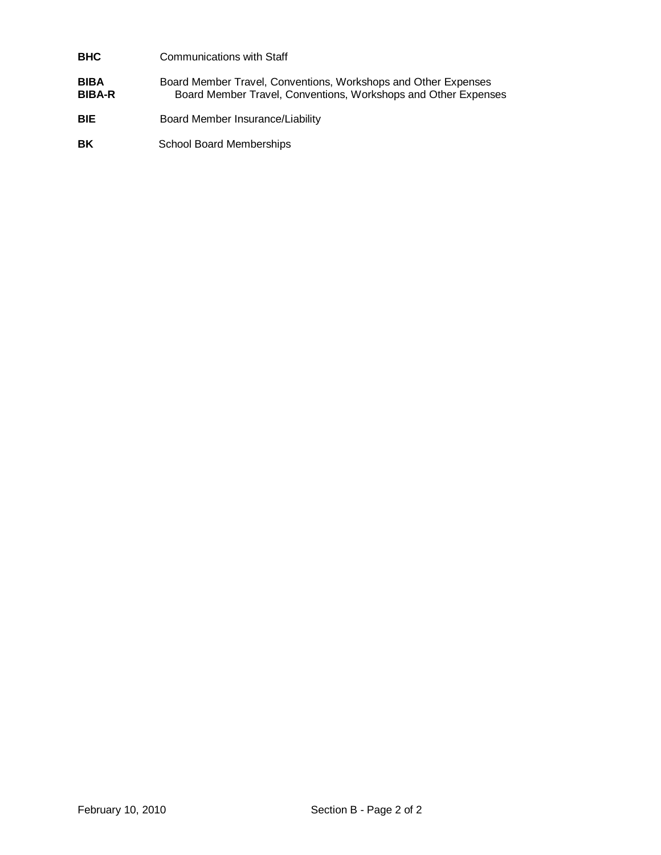## **BHC** Communications with Staff **BIBA** Board Member Travel, Conventions, Workshops and Other Expenses **BIBA-R** Board Member Travel, Conventions, Workshops and Other Expenses

- **BIE** Board Member Insurance/Liability
- **BK** School Board Memberships